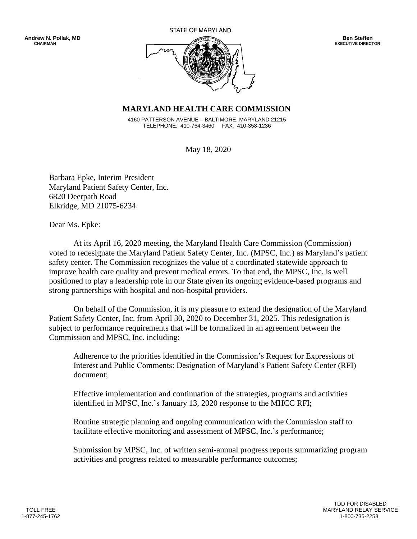STATE OF MARYLAND



## **MARYLAND HEALTH CARE COMMISSION**

 4160 PATTERSON AVENUE – BALTIMORE, MARYLAND 21215 TELEPHONE: 410-764-3460 FAX: 410-358-1236

May 18, 2020

Barbara Epke, Interim President Maryland Patient Safety Center, Inc. 6820 Deerpath Road Elkridge, MD 21075-6234

Dear Ms. Epke:

At its April 16, 2020 meeting, the Maryland Health Care Commission (Commission) voted to redesignate the Maryland Patient Safety Center, Inc. (MPSC, Inc.) as Maryland's patient safety center. The Commission recognizes the value of a coordinated statewide approach to improve health care quality and prevent medical errors. To that end, the MPSC, Inc. is well positioned to play a leadership role in our State given its ongoing evidence-based programs and strong partnerships with hospital and non-hospital providers.

On behalf of the Commission, it is my pleasure to extend the designation of the Maryland Patient Safety Center, Inc. from April 30, 2020 to December 31, 2025. This redesignation is subject to performance requirements that will be formalized in an agreement between the Commission and MPSC, Inc. including:

Adherence to the priorities identified in the Commission's Request for Expressions of Interest and Public Comments: Designation of Maryland's Patient Safety Center (RFI) document;

Effective implementation and continuation of the strategies, programs and activities identified in MPSC, Inc.'s January 13, 2020 response to the MHCC RFI;

Routine strategic planning and ongoing communication with the Commission staff to facilitate effective monitoring and assessment of MPSC, Inc.'s performance;

Submission by MPSC, Inc. of written semi-annual progress reports summarizing program activities and progress related to measurable performance outcomes;